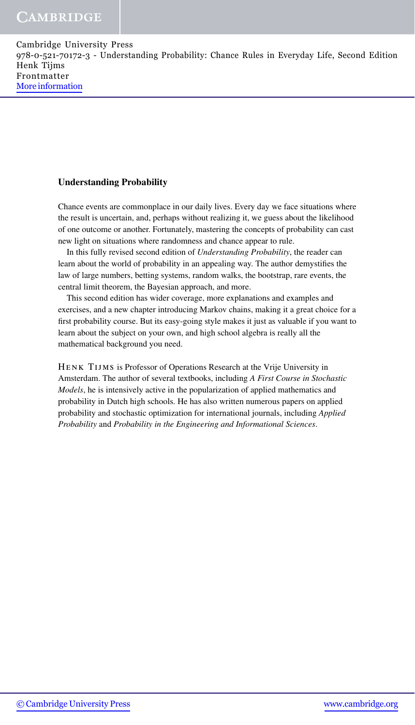### **Understanding Probability**

Chance events are commonplace in our daily lives. Every day we face situations where the result is uncertain, and, perhaps without realizing it, we guess about the likelihood of one outcome or another. Fortunately, mastering the concepts of probability can cast new light on situations where randomness and chance appear to rule.

In this fully revised second edition of *Understanding Probability*, the reader can learn about the world of probability in an appealing way. The author demystifies the law of large numbers, betting systems, random walks, the bootstrap, rare events, the central limit theorem, the Bayesian approach, and more.

This second edition has wider coverage, more explanations and examples and exercises, and a new chapter introducing Markov chains, making it a great choice for a first probability course. But its easy-going style makes it just as valuable if you want to learn about the subject on your own, and high school algebra is really all the mathematical background you need.

Henk Tijms is Professor of Operations Research at the Vrije University in Amsterdam. The author of several textbooks, including *A First Course in Stochastic Models*, he is intensively active in the popularization of applied mathematics and probability in Dutch high schools. He has also written numerous papers on applied probability and stochastic optimization for international journals, including *Applied Probability* and *Probability in the Engineering and Informational Sciences*.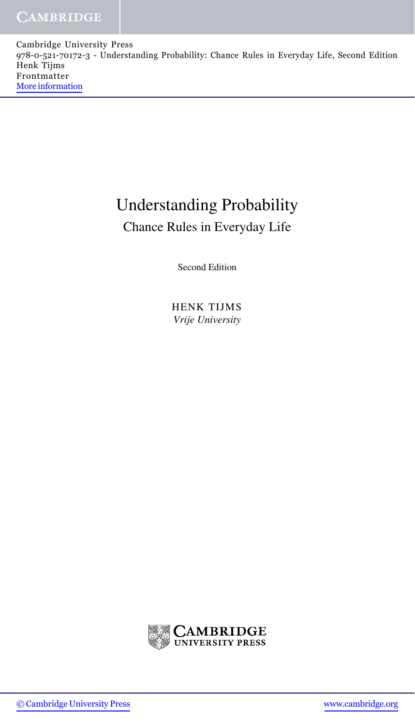# Understanding Probability Chance Rules in Everyday Life

Second Edition

HENK TIJMS *Vrije University*

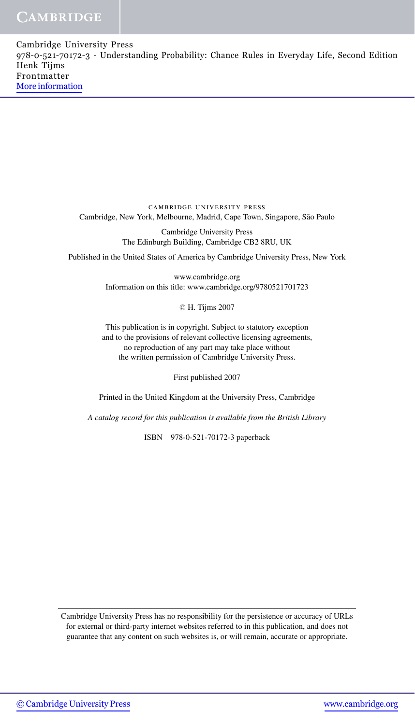> cambridge university press Cambridge, New York, Melbourne, Madrid, Cape Town, Singapore, São Paulo

> > Cambridge University Press The Edinburgh Building, Cambridge CB2 8RU, UK

Published in the United States of America by Cambridge University Press, New York

www.cambridge.org Information on this title: www.cambridge.org/9780521701723

<sup>C</sup> H. Tijms 2007

This publication is in copyright. Subject to statutory exception and to the provisions of relevant collective licensing agreements, no reproduction of any part may take place without the written permission of Cambridge University Press.

First published 2007

Printed in the United Kingdom at the University Press, Cambridge

*A catalog record for this publication is available from the British Library*

ISBN 978-0-521-70172-3 paperback

Cambridge University Press has no responsibility for the persistence or accuracy of URLs for external or third-party internet websites referred to in this publication, and does not guarantee that any content on such websites is, or will remain, accurate or appropriate.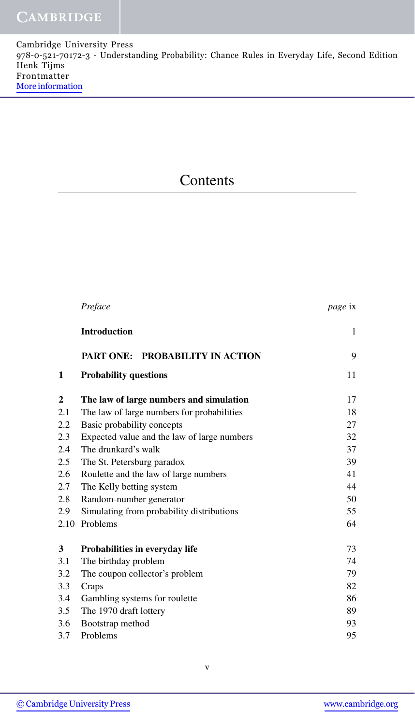## **Contents**

|              | Preface                                     | <i>page</i> ix |
|--------------|---------------------------------------------|----------------|
|              | <b>Introduction</b>                         | 1              |
|              | PART ONE: PROBABILITY IN ACTION             | 9              |
| 1            | <b>Probability questions</b>                | 11             |
| $\mathbf{2}$ | The law of large numbers and simulation     | 17             |
| 2.1          | The law of large numbers for probabilities  | 18             |
| 2.2          | Basic probability concepts                  | 27             |
| 2.3          | Expected value and the law of large numbers | 32             |
| 2.4          | The drunkard's walk                         | 37             |
| 2.5          | The St. Petersburg paradox                  | 39             |
| 2.6          | Roulette and the law of large numbers       | 41             |
| 2.7          | The Kelly betting system                    | 44             |
| 2.8          | Random-number generator                     | 50             |
| 2.9          | Simulating from probability distributions   | 55             |
| 2.10         | Problems                                    | 64             |
| 3            | Probabilities in everyday life              | 73             |
| 3.1          | The birthday problem                        | 74             |
| 3.2          | The coupon collector's problem              | 79             |
| 3.3          | Craps                                       | 82             |
| 3.4          | Gambling systems for roulette               | 86             |
| 3.5          | The 1970 draft lottery                      | 89             |
| 3.6          | Bootstrap method                            | 93             |
| 3.7          | Problems                                    | 95             |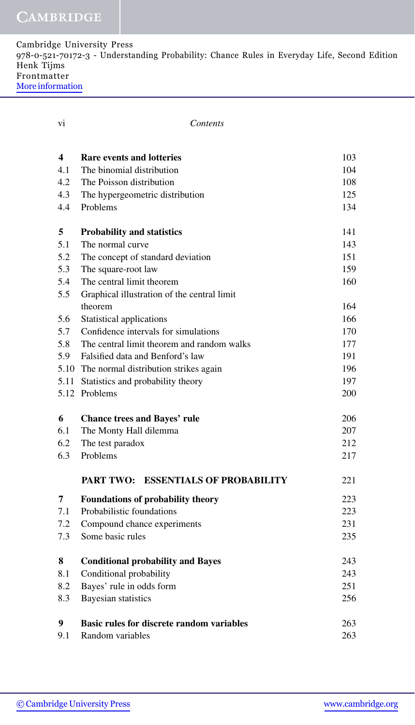| Cambridge University Press |                                                                                              |  |
|----------------------------|----------------------------------------------------------------------------------------------|--|
|                            | 978-0-521-70172-3 - Understanding Probability: Chance Rules in Everyday Life, Second Edition |  |
| Henk Tijms                 |                                                                                              |  |
| Frontmatter                |                                                                                              |  |
| More information           |                                                                                              |  |

| vi   | Contents                                             |     |
|------|------------------------------------------------------|-----|
|      |                                                      |     |
| 4    | <b>Rare events and lotteries</b>                     | 103 |
| 4.1  | The binomial distribution                            | 104 |
| 4.2  | The Poisson distribution                             | 108 |
| 4.3  | The hypergeometric distribution                      | 125 |
| 4.4  | Problems                                             | 134 |
| 5    | <b>Probability and statistics</b>                    | 141 |
| 5.1  | The normal curve                                     | 143 |
| 5.2  | The concept of standard deviation                    | 151 |
| 5.3  | The square-root law                                  | 159 |
| 5.4  | The central limit theorem                            | 160 |
| 5.5  | Graphical illustration of the central limit          |     |
|      | theorem                                              | 164 |
| 5.6  | Statistical applications                             | 166 |
| 5.7  | Confidence intervals for simulations                 | 170 |
| 5.8  | The central limit theorem and random walks           | 177 |
| 5.9  | Falsified data and Benford's law                     | 191 |
|      | 5.10 The normal distribution strikes again           | 196 |
| 5.11 | Statistics and probability theory                    | 197 |
|      | 5.12 Problems                                        | 200 |
| 6    | <b>Chance trees and Bayes' rule</b>                  | 206 |
| 6.1  | The Monty Hall dilemma                               | 207 |
| 6.2  | The test paradox                                     | 212 |
| 6.3  | Problems                                             | 217 |
|      | <b>PART TWO:</b><br><b>ESSENTIALS OF PROBABILITY</b> | 221 |
| 7    | <b>Foundations of probability theory</b>             | 223 |
| 7.1  | Probabilistic foundations                            | 223 |
| 7.2  | Compound chance experiments                          | 231 |
| 7.3  | Some basic rules                                     | 235 |
| 8    | <b>Conditional probability and Bayes</b>             | 243 |
| 8.1  | Conditional probability                              | 243 |
| 8.2  | Bayes' rule in odds form                             | 251 |
| 8.3  | Bayesian statistics                                  | 256 |
| 9    | <b>Basic rules for discrete random variables</b>     | 263 |
| 9.1  | Random variables                                     | 263 |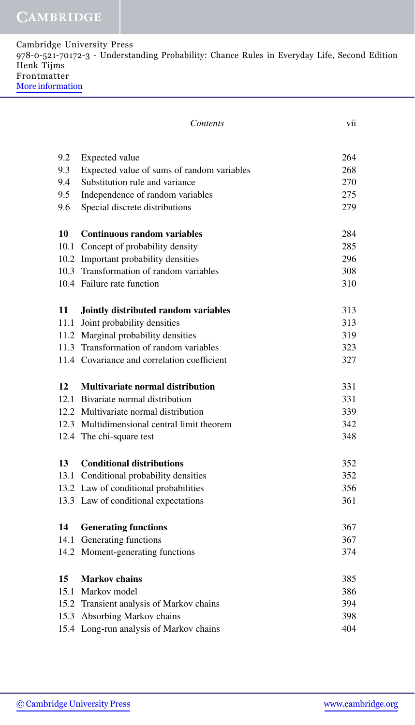| Cambridge University Press                                                                   |  |
|----------------------------------------------------------------------------------------------|--|
| 978-0-521-70172-3 - Understanding Probability: Chance Rules in Everyday Life, Second Edition |  |
| Henk Tijms                                                                                   |  |
| Frontmatter                                                                                  |  |
| More information                                                                             |  |

|                  | Contents                                    | vii |
|------------------|---------------------------------------------|-----|
| 9.2              | Expected value                              | 264 |
| 9.3              | Expected value of sums of random variables  | 268 |
| 9.4              | Substitution rule and variance              | 270 |
| 9.5              | Independence of random variables            | 275 |
| 9.6              | Special discrete distributions              | 279 |
| 10               | <b>Continuous random variables</b>          | 284 |
|                  | 10.1 Concept of probability density         | 285 |
|                  | 10.2 Important probability densities        | 296 |
|                  | 10.3 Transformation of random variables     | 308 |
|                  | 10.4 Failure rate function                  | 310 |
| 11               | Jointly distributed random variables        | 313 |
|                  | 11.1 Joint probability densities            | 313 |
|                  | 11.2 Marginal probability densities         | 319 |
|                  | 11.3 Transformation of random variables     | 323 |
|                  | 11.4 Covariance and correlation coefficient | 327 |
| 12 <sup>12</sup> | Multivariate normal distribution            | 331 |
|                  | 12.1 Bivariate normal distribution          | 331 |
|                  | 12.2 Multivariate normal distribution       | 339 |
|                  | 12.3 Multidimensional central limit theorem | 342 |
|                  | 12.4 The chi-square test                    | 348 |
| 13 <sup>7</sup>  | <b>Conditional distributions</b>            | 352 |
|                  | 13.1 Conditional probability densities      | 352 |
|                  | 13.2 Law of conditional probabilities       | 356 |
|                  | 13.3 Law of conditional expectations        | 361 |
| 14               | <b>Generating functions</b>                 | 367 |
| 14.1             | Generating functions                        | 367 |
|                  | 14.2 Moment-generating functions            | 374 |
| 15               | <b>Markov</b> chains                        | 385 |
| 15.1             | Markov model                                | 386 |
|                  | 15.2 Transient analysis of Markov chains    | 394 |
| 15.3             | Absorbing Markov chains                     | 398 |
|                  | 15.4 Long-run analysis of Markov chains     | 404 |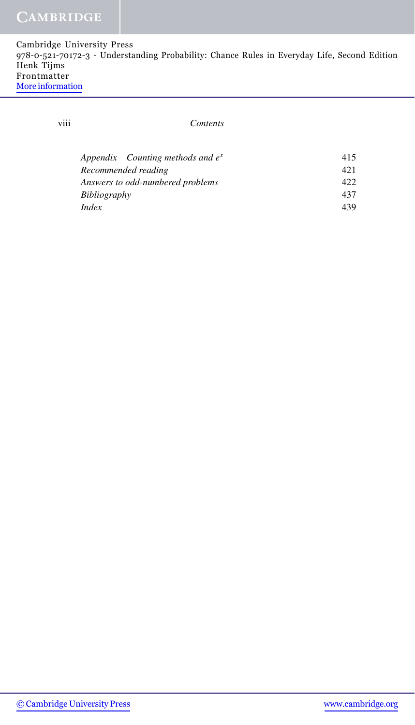| Cambridge University Press                                                                   |  |
|----------------------------------------------------------------------------------------------|--|
| 978-0-521-70172-3 - Understanding Probability: Chance Rules in Everyday Life, Second Edition |  |
| Henk Tijms                                                                                   |  |
| Frontmatter                                                                                  |  |
| More information                                                                             |  |

### viii *Contents*

| Appendix Counting methods and $e^x$ | 415 |
|-------------------------------------|-----|
| Recommended reading                 | 421 |
| Answers to odd-numbered problems    | 422 |
| <i>Bibliography</i>                 | 437 |
| <i>Index</i>                        | 439 |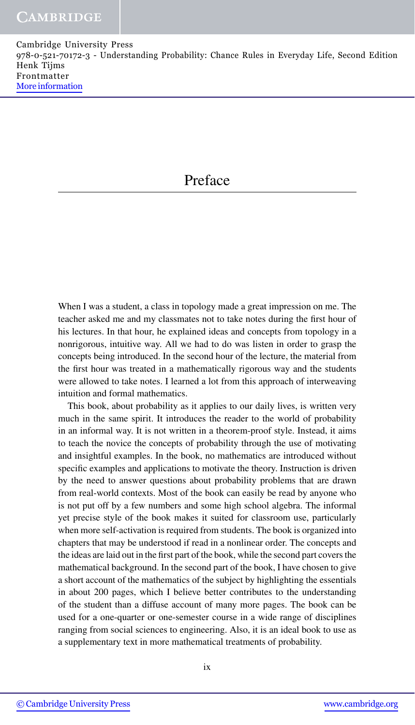## Preface

When I was a student, a class in topology made a great impression on me. The teacher asked me and my classmates not to take notes during the first hour of his lectures. In that hour, he explained ideas and concepts from topology in a nonrigorous, intuitive way. All we had to do was listen in order to grasp the concepts being introduced. In the second hour of the lecture, the material from the first hour was treated in a mathematically rigorous way and the students were allowed to take notes. I learned a lot from this approach of interweaving intuition and formal mathematics.

This book, about probability as it applies to our daily lives, is written very much in the same spirit. It introduces the reader to the world of probability in an informal way. It is not written in a theorem-proof style. Instead, it aims to teach the novice the concepts of probability through the use of motivating and insightful examples. In the book, no mathematics are introduced without specific examples and applications to motivate the theory. Instruction is driven by the need to answer questions about probability problems that are drawn from real-world contexts. Most of the book can easily be read by anyone who is not put off by a few numbers and some high school algebra. The informal yet precise style of the book makes it suited for classroom use, particularly when more self-activation is required from students. The book is organized into chapters that may be understood if read in a nonlinear order. The concepts and the ideas are laid out in the first part of the book, while the second part covers the mathematical background. In the second part of the book, I have chosen to give a short account of the mathematics of the subject by highlighting the essentials in about 200 pages, which I believe better contributes to the understanding of the student than a diffuse account of many more pages. The book can be used for a one-quarter or one-semester course in a wide range of disciplines ranging from social sciences to engineering. Also, it is an ideal book to use as a supplementary text in more mathematical treatments of probability.